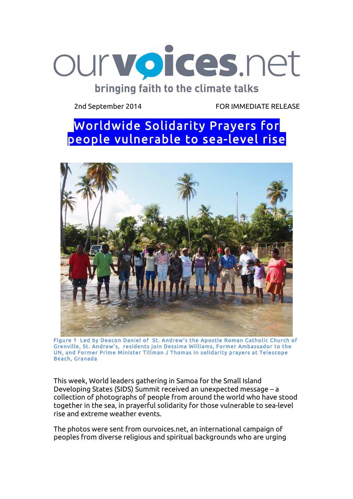

2nd September 2014 FOR IMMEDIATE RELEASE

## Worldwide Solidarity Prayers for people vulnerable to sea-level rise



Figure 1 Led by Deacon Daniel of St. Andrew's the Apostle Roman Catholic Church of Grenville, St. Andrew's, residents join Dessima Williams, Former Ambassador to the UN, and Former Prime Minister Tillman J Thomas in solidarity prayers at Telescope Beach, Granada

This week, World leaders gathering in Samoa for the Small Island Developing States (SIDS) Summit received an unexpected message – a collection of photographs of people from around the world who have stood together in the sea, in prayerful solidarity for those vulnerable to sea-level rise and extreme weather events.

The photos were sent from ourvoices.net, an international campaign of peoples from diverse religious and spiritual backgrounds who are urging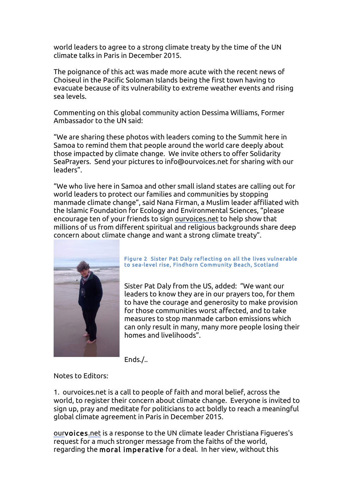world leaders to agree to a strong climate treaty by the time of the UN climate talks in Paris in December 2015.

The poignance of this act was made more acute with the recent news of Choiseul in the Pacific Soloman Islands being the first town having to evacuate because of its vulnerability to extreme weather events and rising sea levels.

Commenting on this global community action Dessima Williams, Former Ambassador to the UN said:

"We are sharing these photos with leaders coming to the Summit here in Samoa to remind them that people around the world care deeply about those impacted by climate change. We invite others to offer Solidarity SeaPrayers. Send your pictures to info@ourvoices.net for sharing with our leaders".

"We who live here in Samoa and other small island states are calling out for world leaders to protect our families and communities by stopping manmade climate change", said Nana Firman, a Muslim leader affiliated with the Islamic Foundation for Ecology and Environmental Sciences, "please encourage ten of your friends to sign ourvoices.net to help show that millions of us from different spiritual and religious backgrounds share deep concern about climate change and want a strong climate treaty".



## Figure 2 Sister Pat Daly reflecting on all the lives vulnerable to sea-level rise, Findhorn Community Beach, Scotland

Sister Pat Daly from the US, added: "We want our leaders to know they are in our prayers too, for them to have the courage and generosity to make provision for those communities worst affected, and to take measures to stop manmade carbon emissions which can only result in many, many more people losing their homes and livelihoods".

Ends./..

Notes to Editors:

1. ourvoices.net is a call to people of faith and moral belief, across the world, to register their concern about climate change. Everyone is invited to sign up, pray and meditate for politicians to act boldly to reach a meaningful global climate agreement in Paris in December 2015.

ourvoices.net is a response to the UN climate leader Christiana Figueres's request for a much stronger message from the faiths of the world, regarding the moral imperative for a deal. In her view, without this